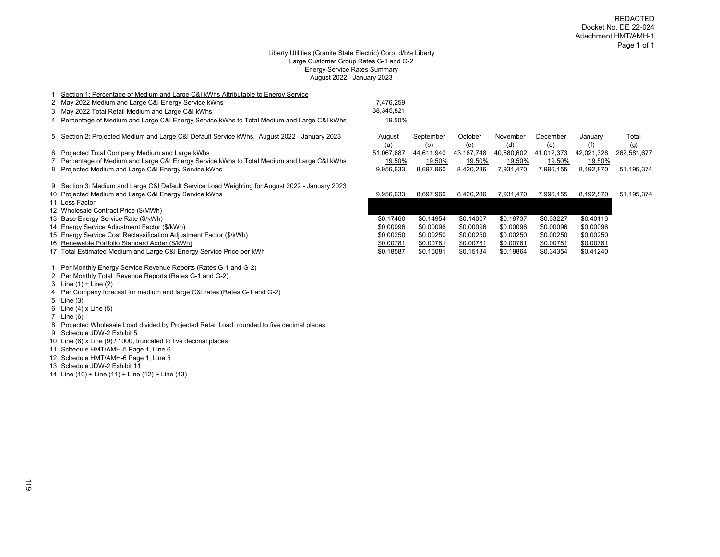#### Liberty Utilities (Granite State Electric) Corp. d/b/a Liberty Large Customer Group Rates G-1 and G-2 Energy Service Rates Summary August 2022 - January 2023

| Section 1: Percentage of Medium and Large C&I kWhs Attributable to Energy Service               |               |                  |                |                 |                 |                |                     |
|-------------------------------------------------------------------------------------------------|---------------|------------------|----------------|-----------------|-----------------|----------------|---------------------|
| 2 May 2022 Medium and Large C&I Energy Service kWhs                                             | 7,476,259     |                  |                |                 |                 |                |                     |
| 3 May 2022 Total Retail Medium and Large C&I kWhs                                               | 38,345,821    |                  |                |                 |                 |                |                     |
| 4 Percentage of Medium and Large C&I Energy Service kWhs to Total Medium and Large C&I kWhs     | 19.50%        |                  |                |                 |                 |                |                     |
| 5 Section 2: Projected Medium and Large C&I Default Service kWhs, August 2022 - January 2023    | August<br>(a) | September<br>(b) | October<br>(c) | November<br>(d) | December<br>(e) | January<br>(f) | <u>Total</u><br>(g) |
| 6 Projected Total Company Medium and Large kWhs                                                 | 51,067,687    | 44,611,940       | 43,187,748     | 40,680,602      | 41,012,373      | 42,021,328     | 262,581,677         |
| 7 Percentage of Medium and Large C&I Energy Service kWhs to Total Medium and Large C&I kWhs     | 19.50%        | 19.50%           | 19.50%         | 19.50%          | 19.50%          | 19.50%         |                     |
| 8 Projected Medium and Large C&I Energy Service kWhs                                            | 9,956,633     | 8,697,960        | 8,420,286      | 7,931,470       | 7,996,155       | 8,192,870      | 51,195,374          |
| 9 Section 3: Medium and Large C&I Default Service Load Weighting for August 2022 - January 2023 |               |                  |                |                 |                 |                |                     |
| 10 Projected Medium and Large C&I Energy Service kWhs                                           | 9,956,633     | 8,697,960        | 8,420,286      | 7,931,470       | 7,996,155       | 8,192,870      | 51,195,374          |
| 11 Loss Factor                                                                                  |               |                  |                |                 |                 |                |                     |
| 12 Wholesale Contract Price (\$/MWh)                                                            |               |                  |                |                 |                 |                |                     |
| 13 Base Energy Service Rate (\$/kWh)                                                            | \$0.17460     | \$0.14954        | \$0.14007      | \$0.18737       | \$0.33227       | \$0.40113      |                     |
| 14 Energy Service Adjustment Factor (\$/kWh)                                                    | \$0.00096     | \$0.00096        | \$0.00096      | \$0.00096       | \$0.00096       | \$0.00096      |                     |
| 15 Energy Service Cost Reclassification Adjustment Factor (\$/kWh)                              | \$0.00250     | \$0.00250        | \$0.00250      | \$0.00250       | \$0.00250       | \$0.00250      |                     |
| 16 Renewable Portfolio Standard Adder (\$/kWh)                                                  | \$0.00781     | \$0.00781        | \$0.00781      | \$0.00781       | \$0.00781       | \$0.00781      |                     |
| 17 Total Estimated Medium and Large C&I Energy Service Price per kWh                            | \$0.18587     | \$0.16081        | \$0.15134      | \$0.19864       | \$0.34354       | \$0.41240      |                     |
|                                                                                                 |               |                  |                |                 |                 |                |                     |

Per Monthly Energy Service Revenue Reports (Rates G-1 and G-2)

- Per Monthly Total Revenue Reports (Rates G-1 and G-2)
- 3 Line  $(1) \div$  Line  $(2)$
- Per Company forecast for medium and large C&I rates (Rates G-1 and G-2)
- Line (3)
- Line (4) x Line (5)
- Line (6)
- Projected Wholesale Load divided by Projected Retail Load, rounded to five decimal places
- Schedule JDW-2 Exhibit 5
- Line (8) x Line (9) / 1000, truncated to five decimal places
- Schedule HMT/AMH-5 Page 1, Line 6
- Schedule HMT/AMH-6 Page 1, Line 5
- Schedule JDW-2 Exhibit 11
- Line (10) + Line (11) + Line (12) + Line (13)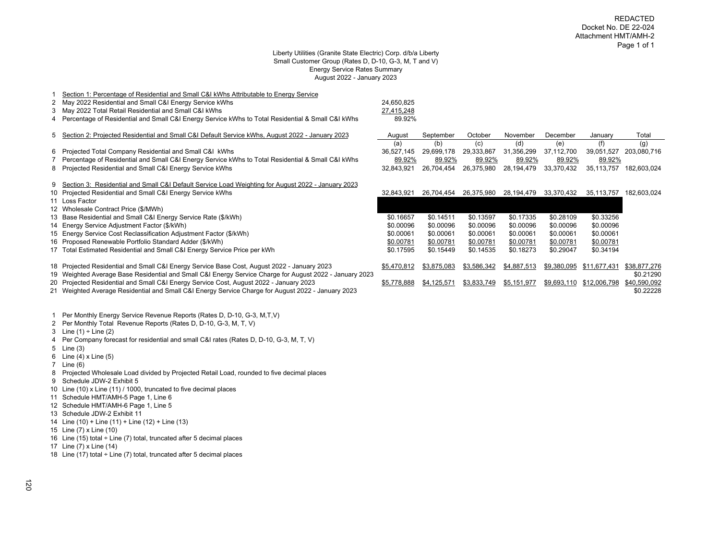#### Liberty Utilities (Granite State Electric) Corp. d/b/a Liberty Small Customer Group (Rates D, D-10, G-3, M, T and V) Energy Service Rates Summary August 2022 - January 2023

| 2<br>3.     | Section 1: Percentage of Residential and Small C&I kWhs Attributable to Energy Service<br>May 2022 Residential and Small C&I Energy Service kWhs<br>May 2022 Total Retail Residential and Small C&I kWhs<br>4 Percentage of Residential and Small C&I Energy Service kWhs to Total Residential & Small C&I kWhs                                                                                                      | 24,650,825<br>27,415,248<br>89.92%                |                                                   |                                                   |                                                   |                                                   |                                                   |                                           |
|-------------|----------------------------------------------------------------------------------------------------------------------------------------------------------------------------------------------------------------------------------------------------------------------------------------------------------------------------------------------------------------------------------------------------------------------|---------------------------------------------------|---------------------------------------------------|---------------------------------------------------|---------------------------------------------------|---------------------------------------------------|---------------------------------------------------|-------------------------------------------|
| 5           | Section 2: Projected Residential and Small C&I Default Service kWhs, August 2022 - January 2023                                                                                                                                                                                                                                                                                                                      | August                                            | September                                         | October                                           | November                                          | December                                          | January                                           | Total                                     |
|             | 6 Projected Total Company Residential and Small C&I kWhs<br>Percentage of Residential and Small C&I Energy Service kWhs to Total Residential & Small C&I kWhs<br>8 Projected Residential and Small C&I Energy Service kWhs                                                                                                                                                                                           | (a)<br>36.527.145<br>89.92%<br>32,843,921         | (b)<br>29,699,178<br>89.92%<br>26,704,454         | (c)<br>29,333,867<br>89.92%<br>26,375,980         | (d)<br>31,356,299<br>89.92%<br>28,194,479         | (e)<br>37,112,700<br>89.92%<br>33,370,432         | (f)<br>39,051,527<br>89.92%<br>35,113,757         | (g)<br>203,080,716<br>182,603,024         |
|             | 9 Section 3: Residential and Small C&I Default Service Load Weighting for August 2022 - January 2023<br>10 Projected Residential and Small C&I Energy Service kWhs<br>11 Loss Factor<br>12 Wholesale Contract Price (\$/MWh)<br>13 Base Residential and Small C&I Energy Service Rate (\$/kWh)<br>14 Energy Service Adjustment Factor (\$/kWh)<br>15 Energy Service Cost Reclassification Adjustment Factor (\$/kWh) | 32.843.921<br>\$0.16657<br>\$0.00096<br>\$0.00061 | 26.704.454<br>\$0.14511<br>\$0.00096<br>\$0.00061 | 26,375,980<br>\$0.13597<br>\$0.00096<br>\$0.00061 | 28,194,479<br>\$0.17335<br>\$0.00096<br>\$0.00061 | 33,370,432<br>\$0.28109<br>\$0.00096<br>\$0.00061 | 35,113,757<br>\$0.33256<br>\$0.00096<br>\$0.00061 | 182.603.024                               |
|             | 16 Proposed Renewable Portfolio Standard Adder (\$/kWh)<br>17 Total Estimated Residential and Small C&I Energy Service Price per kWh                                                                                                                                                                                                                                                                                 | \$0.00781<br>\$0.17595                            | \$0.00781<br>\$0.15449                            | \$0.00781<br>\$0.14535                            | \$0.00781<br>\$0.18273                            | \$0.00781<br>\$0.29047                            | \$0.00781<br>\$0.34194                            |                                           |
|             | 18 Projected Residential and Small C&I Energy Service Base Cost, August 2022 - January 2023<br>19 Weighted Average Base Residential and Small C&I Energy Service Charge for August 2022 - January 2023<br>20 Projected Residential and Small C&I Energy Service Cost, August 2022 - January 2023                                                                                                                     | \$5,470,812<br>\$5,778,888                        | \$3,875,083<br>\$4,125,571                        | \$3,586,342<br>\$3,833,749                        | \$4,887,513<br>\$5,151,977                        | \$9,380,095                                       | \$11,677,431<br>\$9,693,110 \$12,006,798          | \$38,877,276<br>\$0.21290<br>\$40,590,092 |
| 2<br>3<br>4 | 21 Weighted Average Residential and Small C&I Energy Service Charge for August 2022 - January 2023<br>Per Monthly Energy Service Revenue Reports (Rates D, D-10, G-3, M,T,V)<br>Per Monthly Total Revenue Reports (Rates D, D-10, G-3, M, T, V)<br>Line $(1) \div$ Line $(2)$<br>Per Company forecast for residential and small C&I rates (Rates D, D-10, G-3, M, T, V)<br>5 Line (3)                                |                                                   |                                                   |                                                   |                                                   |                                                   |                                                   | \$0.22228                                 |

- Line (4) x Line (5)
- Line (6)
- 
- Projected Wholesale Load divided by Projected Retail Load, rounded to five decimal places
- Schedule JDW-2 Exhibit 5
- Line (10) x Line (11) / 1000, truncated to five decimal places
- Schedule HMT/AMH-5 Page 1, Line 6
- Schedule HMT/AMH-6 Page 1, Line 5
- Schedule JDW-2 Exhibit 11
- Line (10) + Line (11) + Line (12) + Line (13)
- Line (7) x Line (10)
- 16 Line (15) total  $\div$  Line (7) total, truncated after 5 decimal places
- Line (7) x Line (14)
- 18 Line (17) total  $\div$  Line (7) total, truncated after 5 decimal places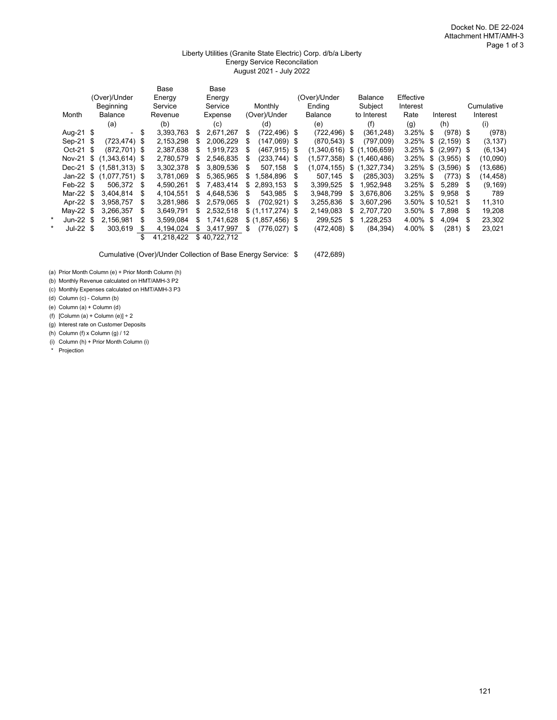#### Liberty Utilities (Granite State Electric) Corp. d/b/a Liberty Energy Service Reconcilation August 2021 - July 2022

|   |             |                          |   | Base       |     | Base         |    |                   |    |                 |     |                |             |     |               |      |            |
|---|-------------|--------------------------|---|------------|-----|--------------|----|-------------------|----|-----------------|-----|----------------|-------------|-----|---------------|------|------------|
|   |             | (Over)/Under             |   | Energy     |     | Energy       |    |                   |    | (Over)/Under    |     | <b>Balance</b> | Effective   |     |               |      |            |
|   |             | Beginning                |   | Service    |     | Service      |    | Monthly           |    | Ending          |     | Subject        | Interest    |     |               |      | Cumulative |
|   | Month       | Balance                  |   | Revenue    |     | Expense      |    | (Over)/Under      |    | Balance         |     | to Interest    | Rate        |     | Interest      |      | Interest   |
|   |             | (a)                      |   | (b)        |     | (c)          |    | (d)               |    | (e)             |     | (f)            | (g)         |     | (h)           |      | (i)        |
|   | Aug-21 \$   | $\blacksquare$           | S | 3,393,763  | \$  | 2,671,267    | S  | $(722, 496)$ \$   |    | $(722, 496)$ \$ |     | (361, 248)     | $3.25\%$ \$ |     | $(978)$ \$    |      | (978)      |
|   | Sep-21 \$   | $(723, 474)$ \$          |   | 2,153,298  | S   | 2,006,229    | \$ | $(147,069)$ \$    |    | (870, 543)      | -\$ | (797,009)      | 3.25%       | \$  | $(2, 159)$ \$ |      | (3, 137)   |
|   | Oct-21 \$   | $(872.701)$ \$           |   | 2,387,638  | S   | 1.919.723    | S  | $(467, 915)$ \$   |    | (1,340,616)     |     | \$(1,106,659)  | 3.25%       | \$  | $(2,997)$ \$  |      | (6, 134)   |
|   | Nov-21 $$$  | $(1,343,614)$ \$         |   | 2,780,579  | \$  | 2.546.835    | S  | $(233, 744)$ \$   |    | (1,577,358)     |     | \$(1,460,486)  | 3.25%       | \$  | $(3,955)$ \$  |      | (10,090)   |
|   |             | Dec-21 \$ (1.581.313) \$ |   | 3.302.378  | \$. | 3.809.536    | S  | 507.158           | S  | (1.074.155)     |     | \$(1,327,734)  | 3.25%       | \$  | $(3,596)$ \$  |      | (13,686)   |
|   |             | Jan-22 \$ (1,077,751) \$ |   | 3,781,069  | S.  | 5,365,965    | S  | 1,584,896         | S. | 507.145         | S   | (285, 303)     | $3.25\%$ \$ |     | (773)         | - \$ | (14, 458)  |
|   | $Feb-22$ \$ | 506.372                  | S | 4.590.261  | S.  | 7.483.414    | S  | 2.893.153         | S  | 3.399.525       | \$  | 1.952.948      | 3.25%       | \$  | 5.289         | S.   | (9, 169)   |
|   | Mar-22 \$   | 3.404.814                | S | 4.104.551  | S.  | 4.648.536    | S  | 543.985           | S  | 3,948,799       | S.  | 3.676.806      | 3.25%       | \$  | 9.958         | -SS  | 789        |
|   | Apr-22 \$   | 3,958,757                | S | 3,281,986  | S.  | 2.579.065    | S  | $(702, 921)$ \$   |    | 3,255,836       | S.  | 3.607.296      | 3.50%       | \$. | 10.521        | S    | 11,310     |
|   | May-22 $$$  | 3.266.357                | S | 3.649.791  |     | 2.532.518    |    | $$(1.117.274)$ \$ |    | 2,149,083       | \$  | 2.707.720      | 3.50%       | \$  | 7.898         | S    | 19,208     |
|   | Jun-22 $$$  | 2.156.981                | S | 3.599.084  | S   | 1.741.628    |    | $$(1,857,456)$ \, |    | 299,525         | \$  | 1,228,253      | 4.00%       | \$  | 4.094         |      | 23,302     |
| * | Jul-22 $$$  | 303.619                  | S | 4,194,024  | S   | 3,417,997    | \$ | $(776, 027)$ \$   |    | (472, 408)      | \$  | (84, 394)      | 4.00%       | \$  | (281)         | \$   | 23,021     |
|   |             |                          |   | 41,218,422 |     | \$40.722.712 |    |                   |    |                 |     |                |             |     |               |      |            |

Cumulative (Over)/Under Collection of Base Energy Service: \$ (472,689)

(a) Prior Month Column (e) + Prior Month Column (h)

(b) Monthly Revenue calculated on HMT/AMH-3 P2

(c) Monthly Expenses calculated on HMT/AMH-3 P3

(d) Column (c) - Column (b)

(e) Column (a) + Column (d)

(f)  $[Column (a) + Column (e)] + 2$ 

(g) Interest rate on Customer Deposits

(h) Column (f) x Column (g) / 12

(i) Column (h) + Prior Month Column (i)

\* Projection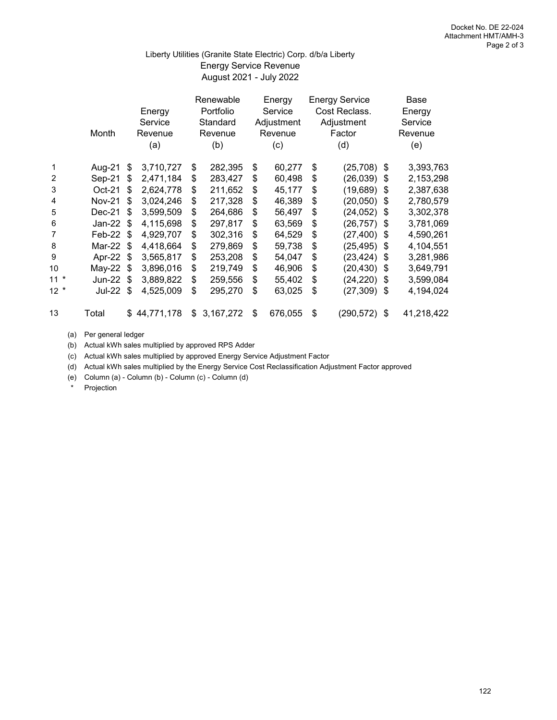## August 2021 - July 2022 Liberty Utilities (Granite State Electric) Corp. d/b/a Liberty Energy Service Revenue

|        | Month         |      | Energy<br>Service<br>Revenue<br>(a) | Renewable<br>Portfolio<br>Standard<br>Revenue<br>(b) | Energy<br>Service<br>Adjustment<br>Revenue<br>(c) | <b>Energy Service</b><br>Cost Reclass.<br>Adjustment<br>Factor<br>(d) |    | Base<br>Energy<br>Service<br>Revenue<br>(e) |
|--------|---------------|------|-------------------------------------|------------------------------------------------------|---------------------------------------------------|-----------------------------------------------------------------------|----|---------------------------------------------|
| 1      | Aug-21        | \$   | 3,710,727                           | \$<br>282,395                                        | \$<br>60,277                                      | \$<br>(25, 708)                                                       | \$ | 3,393,763                                   |
| 2      | Sep-21        | \$   | 2,471,184                           | \$<br>283,427                                        | \$<br>60,498                                      | \$<br>(26, 039)                                                       | \$ | 2,153,298                                   |
| 3      | $Oct-21$      | \$   | 2,624,778                           | \$<br>211,652                                        | \$<br>45,177                                      | \$<br>(19, 689)                                                       | S  | 2,387,638                                   |
| 4      | <b>Nov-21</b> | \$   | 3,024,246                           | \$<br>217,328                                        | \$<br>46,389                                      | \$<br>(20, 050)                                                       | \$ | 2,780,579                                   |
| 5      | Dec-21        | \$   | 3,599,509                           | \$<br>264,686                                        | \$<br>56,497                                      | \$<br>(24, 052)                                                       | \$ | 3,302,378                                   |
| 6      | Jan-22 $$$    |      | 4,115,698                           | \$<br>297,817                                        | \$<br>63,569                                      | \$<br>(26, 757)                                                       | \$ | 3,781,069                                   |
| 7      | Feb-22        | -\$  | 4,929,707                           | \$<br>302,316                                        | \$<br>64,529                                      | \$<br>(27, 400)                                                       | \$ | 4,590,261                                   |
| 8      | Mar-22 \$     |      | 4,418,664                           | \$<br>279,869                                        | \$<br>59,738                                      | \$<br>(25, 495)                                                       | \$ | 4,104,551                                   |
| 9      | Apr-22        | \$   | 3,565,817                           | \$<br>253,208                                        | \$<br>54,047                                      | \$<br>(23, 424)                                                       | \$ | 3,281,986                                   |
| 10     | $May-22$      | \$   | 3,896,016                           | \$<br>219,749                                        | \$<br>46,906                                      | \$<br>(20, 430)                                                       | \$ | 3,649,791                                   |
| $11 *$ | <b>Jun-22</b> | - \$ | 3,889,822                           | \$<br>259,556                                        | \$<br>55,402                                      | \$<br>(24, 220)                                                       | \$ | 3,599,084                                   |
| $12 *$ | Jul-22 \$     |      | 4,525,009                           | \$<br>295,270                                        | \$<br>63,025                                      | \$<br>$(27,309)$ \$                                                   |    | 4,194,024                                   |
| 13     | Total         | \$   | 44,771,178                          | \$<br>3,167,272                                      | \$<br>676,055                                     | \$<br>(290, 572)                                                      | \$ | 41,218,422                                  |

(a) Per general ledger

(b) Actual kWh sales multiplied by approved RPS Adder

(c) Actual kWh sales multiplied by approved Energy Service Adjustment Factor

(d) Actual kWh sales multiplied by the Energy Service Cost Reclassification Adjustment Factor approved

(e) Column (a) - Column (b) - Column (c) - Column (d)

\* Projection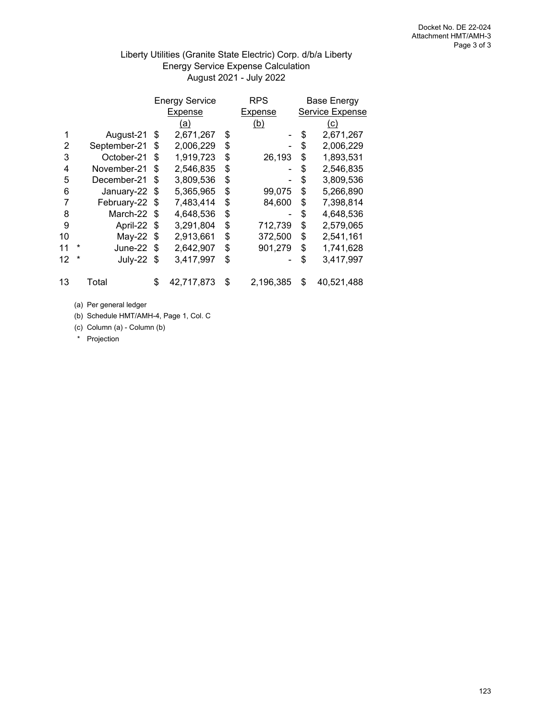## Liberty Utilities (Granite State Electric) Corp. d/b/a Liberty Energy Service Expense Calculation August 2021 - July 2022

|    |   |              |     | <b>Energy Service</b> | <b>RPS</b>      | <b>Base Energy</b> |
|----|---|--------------|-----|-----------------------|-----------------|--------------------|
|    |   |              |     | Expense               | Expense         | Service Expense    |
|    |   |              |     | (a)                   | (b)             | <u>(c)</u>         |
|    |   | August-21    | \$  | 2,671,267             | \$              | \$<br>2,671,267    |
| 2  |   | September-21 | \$  | 2,006,229             | \$              | \$<br>2,006,229    |
| 3  |   | October-21   | \$  | 1,919,723             | \$<br>26,193    | \$<br>1,893,531    |
| 4  |   | November-21  | \$  | 2,546,835             | \$              | \$<br>2,546,835    |
| 5  |   | December-21  | \$  | 3,809,536             | \$              | \$<br>3,809,536    |
| 6  |   | January-22   | \$  | 5,365,965             | \$<br>99,075    | \$<br>5,266,890    |
| 7  |   | February-22  | \$  | 7,483,414             | \$<br>84,600    | \$<br>7,398,814    |
| 8  |   | March-22     | \$  | 4,648,536             | \$              | \$<br>4,648,536    |
| 9  |   | April-22     | \$  | 3,291,804             | \$<br>712,739   | \$<br>2,579,065    |
| 10 |   | $May-22$     | \$  | 2,913,661             | \$<br>372,500   | \$<br>2,541,161    |
| 11 | * | June-22      | \$. | 2,642,907             | \$<br>901,279   | \$<br>1,741,628    |
| 12 | * | July-22      | -\$ | 3,417,997             | \$              | \$<br>3,417,997    |
| 13 |   | Total        | \$  | 42,717,873            | \$<br>2,196,385 | \$<br>40,521,488   |

(a) Per general ledger

(b) Schedule HMT/AMH-4, Page 1, Col. C

(c) Column (a) - Column (b)

\* Projection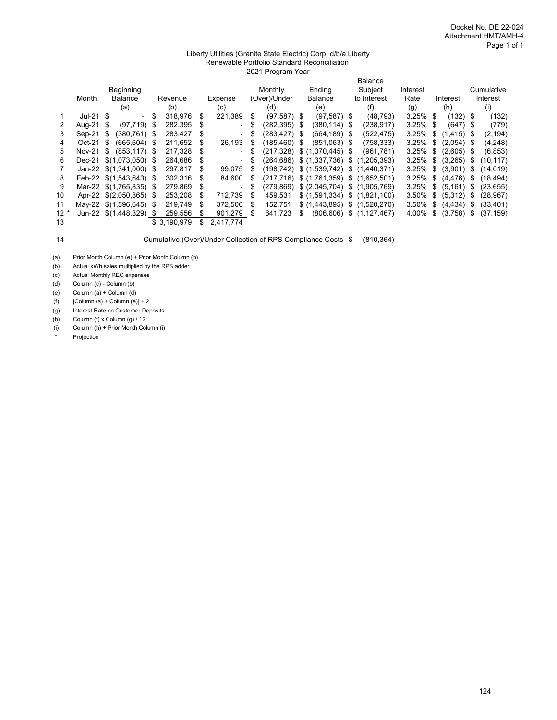#### Liberty Utilities (Granite State Electric) Corp. d/b/a Liberty Renewable Portfolio Standard Reconciliation 2021 Program Year

|        |                          |                |                   |      |              |   |                          |      |               |     |                 |      | <b>Balance</b>                                |             |     |               |    |            |
|--------|--------------------------|----------------|-------------------|------|--------------|---|--------------------------|------|---------------|-----|-----------------|------|-----------------------------------------------|-------------|-----|---------------|----|------------|
|        |                          | Beginning      |                   |      |              |   |                          |      | Monthly       |     | Ending          |      | Subject                                       | Interest    |     |               |    | Cumulative |
|        | Month                    | <b>Balance</b> |                   |      | Revenue      |   | Expense                  |      | (Over)/Under  |     | <b>Balance</b>  |      | to Interest                                   | Rate        |     | Interest      |    | Interest   |
|        |                          | (a)            |                   |      | (b)          |   | (c)                      |      | (d)           |     | (e)             |      | (f)                                           | (g)         |     | (h)           |    | (i)        |
|        | $Jul-21$ \$              |                | $\sim$            | \$   | 318,976      | S | 221,389                  | S    | $(97,587)$ \$ |     | $(97,587)$ \$   |      | (48, 793)                                     | $3.25\%$ \$ |     | $(132)$ \$    |    | (132)      |
|        | Aug-21 \$                |                | (97, 719)         | - \$ | 282,395      | S | $\overline{\phantom{a}}$ | \$   | (282,395) \$  |     | (380, 114)      | - \$ | (238,917)                                     | $3.25\%$ \$ |     | $(647)$ \$    |    | (779)      |
| 3      | $Sep-21$                 | -S             | $(380, 761)$ \$   |      | 283,427      | S | $\blacksquare$           | \$   | (283,427) \$  |     | $(664, 189)$ \$ |      | (522,475)                                     | 3.25%       | \$  | $(1, 415)$ \$ |    | (2, 194)   |
| 4      | $Oct-21$                 | -\$            | $(665.604)$ \$    |      | 211,652      | S | 26,193                   | S    | (185,460)     | -\$ | $(851,063)$ \$  |      | (758, 333)                                    | 3.25%       | -\$ | $(2,054)$ \$  |    | (4,248)    |
| 5      | <b>Nov-21</b>            | \$             | $(853, 117)$ \$   |      | 217,328      | S | $\overline{\phantom{a}}$ | -\$  | (217,328)     |     | \$(1,070,445)   | - \$ | (961, 781)                                    | 3.25%       | -\$ | $(2,605)$ \$  |    | (6, 853)   |
| 6      | Dec-21                   |                | $$(1,073,050)$ \$ |      | 264,686      | S | $\overline{\phantom{a}}$ | - \$ | (264,686)     |     | \$(1,337,736)   |      | \$(1,205,393)                                 | $3.25\%$ \$ |     | (3,265)       | S  | (10, 117)  |
|        | Jan-22 $$(1,341,000)$ \$ |                |                   |      | 297,817      | S | 99.075                   | S    | (198,742)     |     | \$(1,539,742)   |      | \$(1,440,371)                                 | $3.25\%$ \$ |     | (3,901)       | S  | (14, 019)  |
| 8      | Feb-22 \$(1,543,643) \$  |                |                   |      | 302.316      | S | 84.600                   | S    |               |     |                 |      | $(217,716)$ \$ $(1,761,359)$ \$ $(1,652,501)$ | 3.25%       | \$  | (4, 476)      | \$ | (18.494)   |
| 9      | Mar-22 \$(1,765,835) \$  |                |                   |      | 279,869      | S | ۰                        | \$   | (279.869)     |     | \$ (2,045,704)  |      | \$(1.905.769)                                 | $3.25\%$ \$ |     | (5, 161)      | \$ | (23, 655)  |
| 10     | Apr-22 \$(2,050,865) \$  |                |                   |      | 253,208      | S | 712.739                  | S    | 459.531       |     | \$(1,591,334)   |      | \$(1,821,100)                                 | 3.50%       | \$  | (5,312)       | S  | (28, 967)  |
| 11     | May-22 \$(1,596,645)     |                |                   | - \$ | 219.749      | S | 372.500                  | \$.  | 152.751       |     | \$(1,443,895)   |      | \$(1,520,270)                                 | 3.50%       | \$  | (4, 434)      | S  | (33, 401)  |
| $12 *$ | <b>Jun-22</b>            |                | $$(1,448,329)$ \$ |      | 259.556      | S | 901.279                  | \$.  | 641.723       | S   | (806, 606)      | \$   | (1, 127, 467)                                 | 4.00%       | \$  | (3,758)       | S  | (37, 159)  |
| 13     |                          |                |                   |      | \$ 3.190.979 |   | 2,417,774                |      |               |     |                 |      |                                               |             |     |               |    |            |

14 Cumulative (Over)/Under Collection of RPS Compliance Costs \$ (810,364)

(a) Prior Month Column (e) + Prior Month Column (h)

(b) Actual kWh sales multiplied by the RPS adder

(c) Actual Monthly REC expenses

(d) Column (c) - Column (b)

(e) Column (a) + Column (d)

(f)  $[Column (a) + Column (e)] + 2$ 

(g) Interest Rate on Customer Deposits

(h) Column (f) x Column (g) / 12

(i) Column (h) + Prior Month Column (i)

Projection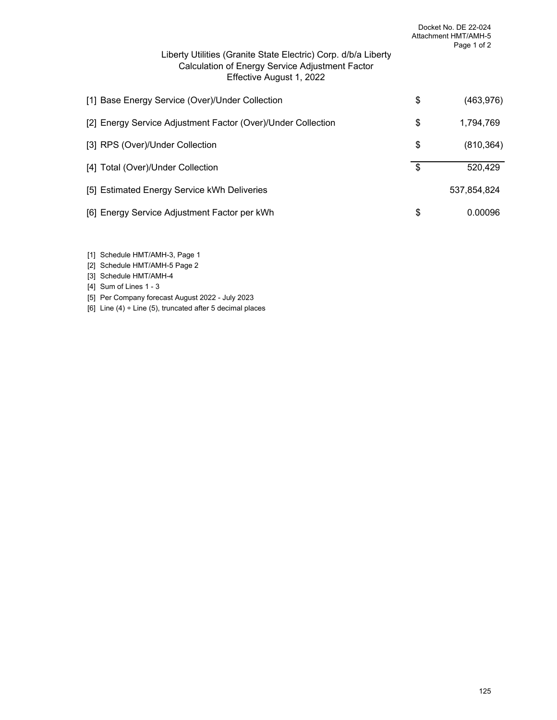| Liberty Utilities (Granite State Electric) Corp. d/b/a Liberty<br>Calculation of Energy Service Adjustment Factor<br>Effective August 1, 2022 | Docket No. DE 22-024<br>Attachment HMT/AMH-5<br>Page 1 of 2 |
|-----------------------------------------------------------------------------------------------------------------------------------------------|-------------------------------------------------------------|
| [1] Base Energy Service (Over)/Under Collection                                                                                               | \$<br>(463, 976)                                            |
| [2] Energy Service Adjustment Factor (Over)/Under Collection                                                                                  | \$<br>1,794,769                                             |
| [3] RPS (Over)/Under Collection                                                                                                               | \$<br>(810, 364)                                            |
| [4] Total (Over)/Under Collection                                                                                                             | \$<br>520,429                                               |
| [5] Estimated Energy Service kWh Deliveries                                                                                                   | 537,854,824                                                 |
| [6] Energy Service Adjustment Factor per kWh                                                                                                  | \$<br>0.00096                                               |

- [1] Schedule HMT/AMH-3, Page 1
- [2] Schedule HMT/AMH-5 Page 2
- [3] Schedule HMT/AMH-4
- [4] Sum of Lines 1 3
- [5] Per Company forecast August 2022 July 2023
- [6] Line  $(4) \div$  Line  $(5)$ , truncated after 5 decimal places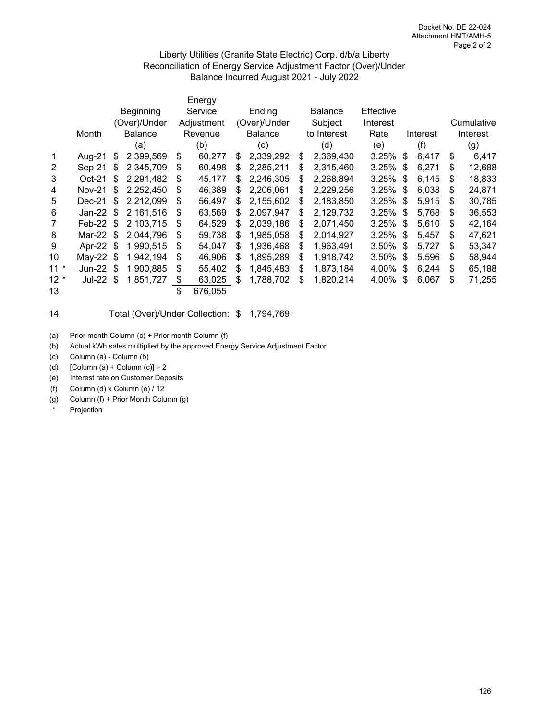### Liberty Utilities (Granite State Electric) Corp. d/b/a Liberty Reconciliation of Energy Service Adjustment Factor (Over)/Under Balance Incurred August 2021 - July 2022

|                |               |    |                |    | Energy     |    |                |    |                |           |    |          |    |            |
|----------------|---------------|----|----------------|----|------------|----|----------------|----|----------------|-----------|----|----------|----|------------|
|                |               |    | Beginning      |    | Service    |    | Ending         |    | <b>Balance</b> | Effective |    |          |    |            |
|                |               |    | (Over)/Under   |    | Adjustment |    | (Over)/Under   |    | Subject        | Interest  |    |          |    | Cumulative |
|                | Month         |    | <b>Balance</b> |    | Revenue    |    | <b>Balance</b> |    | to Interest    | Rate      |    | Interest |    | Interest   |
|                |               |    | (a)            |    | (b)        |    | (c)            |    | (d)            | (e)       |    | (f)      |    | (g)        |
| $\mathbf{1}$   | Aug-21        | \$ | 2,399,569      | \$ | 60,277     | S  | 2,339,292      | \$ | 2,369,430      | 3.25%     | \$ | 6,417    | \$ | 6,417      |
| $\overline{2}$ | Sep-21        | \$ | 2,345,709      | \$ | 60,498     | S. | 2,285,211      | S  | 2,315,460      | 3.25%     | \$ | 6,271    | S  | 12,688     |
| 3              | $Oct-21$      | \$ | 2,291,482      | \$ | 45,177     | \$ | 2,246,305      | \$ | 2,268,894      | 3.25%     | \$ | 6,145    | S  | 18,833     |
| 4              | <b>Nov-21</b> | \$ | 2,252,450      | S  | 46,389     | S  | 2,206,061      | S  | 2,229,256      | 3.25%     | \$ | 6,038    | S  | 24,871     |
| 5              | Dec-21        | \$ | 2,212,099      | S  | 56,497     | S  | 2,155,602      | \$ | 2,183,850      | 3.25%     | \$ | 5,915    | S  | 30,785     |
| 6              | Jan-22 $$$    |    | 2,161,516      | S  | 63,569     | S  | 2,097,947      | S  | 2,129,732      | 3.25%     | \$ | 5,768    | S  | 36,553     |
| 7              | Feb-22 $$$    |    | 2,103,715      | \$ | 64,529     | S  | 2,039,186      | S  | 2,071,450      | 3.25%     | \$ | 5,610    | \$ | 42,164     |
| 8              | Mar-22        | \$ | 2,044,796      | \$ | 59,738     | S  | 1,985,058      | \$ | 2,014,927      | 3.25%     | \$ | 5,457    | \$ | 47,621     |
| 9              | Apr-22        | S  | 1,990,515      | S  | 54,047     | S  | 1,936,468      | \$ | 1,963,491      | 3.50%     | S  | 5,727    | S  | 53,347     |
| 10             | May-22        | \$ | 1,942,194      | \$ | 46,906     | S  | 1,895,289      | \$ | 1,918,742      | 3.50%     | S  | 5,596    | \$ | 58,944     |
| $11 *$         | <b>Jun-22</b> | \$ | 1,900,885      | \$ | 55,402     | S. | 1.845.483      | \$ | 1,873,184      | 4.00%     | \$ | 6,244    | S  | 65,188     |
| $12 *$         | Jul-22        | \$ | 1,851,727      | \$ | 63,025     | \$ | 1,788,702      | \$ | 1,820,214      | 4.00%     | \$ | 6,067    | \$ | 71,255     |
| 13             |               |    |                | \$ | 676,055    |    |                |    |                |           |    |          |    |            |

### 14 Total (Over)/Under Collection: \$ 1,794,769

(a) Prior month Column (c) + Prior month Column (f)

(b) Actual kWh sales multiplied by the approved Energy Service Adjustment Factor

(c) Column (a) - Column (b)

(d)  $[Column (a) + Column (c)] \div 2$ 

(e) Interest rate on Customer Deposits

(f) Column (d) x Column (e) / 12

(g) Column (f) + Prior Month Column (g)

Projection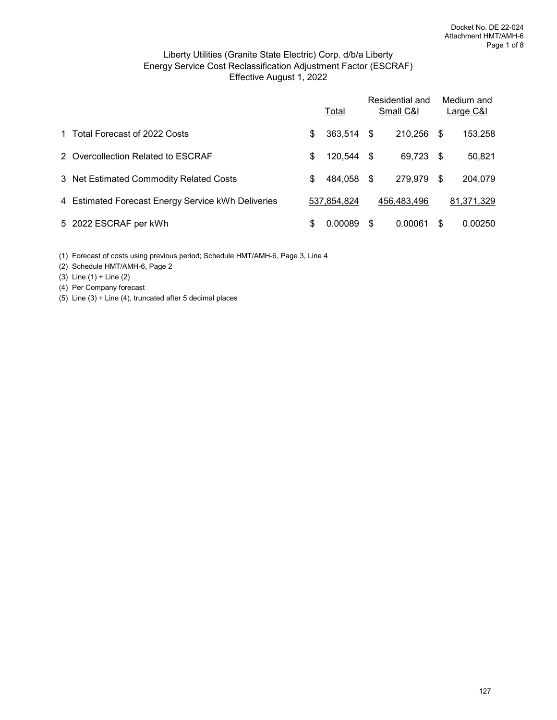## Effective August 1, 2022 Liberty Utilities (Granite State Electric) Corp. d/b/a Liberty Energy Service Cost Reclassification Adjustment Factor (ESCRAF)

|                                                    |    | Total       |    | Residential and<br>Small C&I |      | Medium and<br>Large C&I |
|----------------------------------------------------|----|-------------|----|------------------------------|------|-------------------------|
| 1 Total Forecast of 2022 Costs                     | \$ | 363,514 \$  |    | 210,256                      | -S   | 153,258                 |
| 2 Overcollection Related to ESCRAF                 | \$ | 120,544 \$  |    | 69,723                       | - \$ | 50,821                  |
| 3 Net Estimated Commodity Related Costs            | \$ | 484,058 \$  |    | 279,979                      | S    | 204,079                 |
| 4 Estimated Forecast Energy Service kWh Deliveries |    | 537,854,824 |    | 456.483.496                  |      | 81,371,329              |
| 5 2022 ESCRAF per kWh                              | S  | 0.00089     | -S | 0.00061                      | S    | 0.00250                 |

(1) Forecast of costs using previous period; Schedule HMT/AMH-6, Page 3, Line 4

(2) Schedule HMT/AMH-6, Page 2

(3) Line (1) + Line (2)

(4) Per Company forecast

(5) Line  $(3)$  ÷ Line  $(4)$ , truncated after 5 decimal places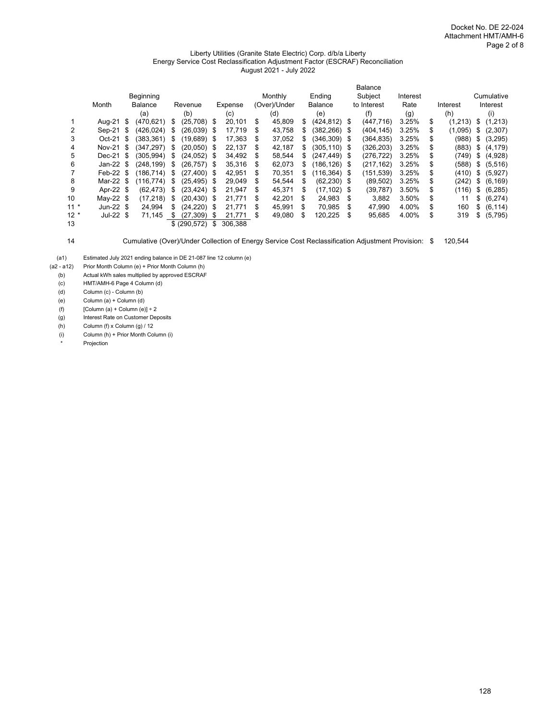#### Liberty Utilities (Granite State Electric) Corp. d/b/a Liberty Energy Service Cost Reclassification Adjustment Factor (ESCRAF) Reconciliation August 2021 - July 2022

|        |            |                |    |               |      |         |    |              |     |                 |      | <b>Balance</b> |          |    |          |                |
|--------|------------|----------------|----|---------------|------|---------|----|--------------|-----|-----------------|------|----------------|----------|----|----------|----------------|
|        |            | Beginning      |    |               |      |         |    | Monthly      |     | Ending          |      | Subject        | Interest |    |          | Cumulative     |
|        | Month      | <b>Balance</b> |    | Revenue       |      | Expense |    | (Over)/Under |     | <b>Balance</b>  |      | to Interest    | Rate     |    | Interest | Interest       |
|        |            | (a)            |    | (b)           |      | (c)     |    | (d)          |     | (e)             |      | (f)            | (g)      |    | (h)      | (i)            |
|        | Aug-21 \$  | (470,621)      | \$ | (25,708) \$   |      | 20,101  | \$ | 45,809       | S   | $(424, 812)$ \$ |      | (447, 716)     | 3.25%    | \$ | (1,213)  | \$<br>(1,213)  |
| 2      | Sep-21 \$  | (426.024)      | S  | $(26,039)$ \$ |      | 17,719  | S  | 43,758       | \$. | (382,266) \$    |      | (404, 145)     | 3.25%    | \$ | (1,095)  | \$<br>(2,307)  |
| 3      | Oct-21 \$  | (383.361)      | \$ | (19,689) \$   |      | 17.363  | S  | 37,052       | \$. | (346.309) \$    |      | (364,835)      | 3.25%    | S  | (988)    | \$<br>(3,295)  |
| 4      | Nov-21 \$  | (347.297)      | S. | (20,050)      | \$.  | 22.137  | \$ | 42,187       | \$. | (305.110) \$    |      | (326,203)      | 3.25%    | S  | (883)    | \$<br>(4, 179) |
| 5      | Dec-21 \$  | (305.994)      | \$ | $(24,052)$ \$ |      | 34.492  | \$ | 58.544       | \$. | $(247.449)$ \$  |      | (276.722)      | 3.25%    | S  | (749)    | \$<br>(4,928)  |
| 6      | Jan-22 $$$ | (248,199)      | \$ | (26,757) \$   |      | 35,316  | S  | 62,073       | S.  | (186,126) \$    |      | (217, 162)     | 3.25%    | \$ | (588)    | \$<br>(5, 516) |
|        | Feb-22 $$$ | (186.714)      | \$ | $(27.400)$ \$ |      | 42.951  | S  | 70,351       | \$. | (116,364)       | - \$ | (151, 539)     | 3.25%    | \$ | (410)    | \$<br>(5,927)  |
| 8      | Mar-22 \$  | (116.774)      | \$ | (25.495)      | - \$ | 29.049  | S  | 54.544       | S   | $(62, 230)$ \$  |      | (89, 502)      | 3.25%    | S  | (242)    | \$<br>(6, 169) |
| 9      | Apr-22 \$  | (62.473)       | \$ | (23, 424)     | - \$ | 21.947  | \$ | 45.371       | \$  | (17.102)        | - \$ | (39, 787)      | 3.50%    | S  | (116)    | \$<br>(6, 285) |
| 10     | May-22 $$$ | (17, 218)      | \$ | (20, 430)     | - \$ | 21.771  | \$ | 42,201       | \$  | 24.983          | S    | 3.882          | 3.50%    | S  | 11       | \$<br>(6,274)  |
| $11*$  | Jun-22 $$$ | 24.994         | \$ | (24, 220)     | \$.  | 21.771  | \$ | 45,991       | S   | 70.985          | \$   | 47.990         | 4.00%    | S  | 160      | \$<br>(6, 114) |
| $12 *$ | $Jul-22 S$ | 71.145         | \$ | (27.309)      | S    | 21.771  | \$ | 49,080       | \$  | 120.225         | S    | 95,685         | 4.00%    | \$ | 319      | \$<br>(5,795)  |
| 13     |            |                |    | \$ (290, 572) | \$   | 306,388 |    |              |     |                 |      |                |          |    |          |                |

14 Cumulative (Over)/Under Collection of Energy Service Cost Reclassification Adjustment Provision: \$ 120,544

(a1) Estimated July 2021 ending balance in DE 21-087 line 12 column (e)<br>(a2 - a12) Prior Month Column (e) + Prior Month Column (h) Prior Month Column (e) + Prior Month Column (h)

(b) <br>
(c) Actual kWh sales multiplied by approved ESCRAF<br>
(c) HMT/AMH-6 Page 4 Column (d)

HMT/AMH-6 Page 4 Column (d)

(d) Column (c) - Column (b)

(e) Column (a) + Column (d)

(f)  $[Column (a) + Column (e)] \div 2$ 

(g) Interest Rate on Customer Deposits

(h) Column (f) x Column (g) / 12

(i) Column (h) + Prior Month Column (i)

Projection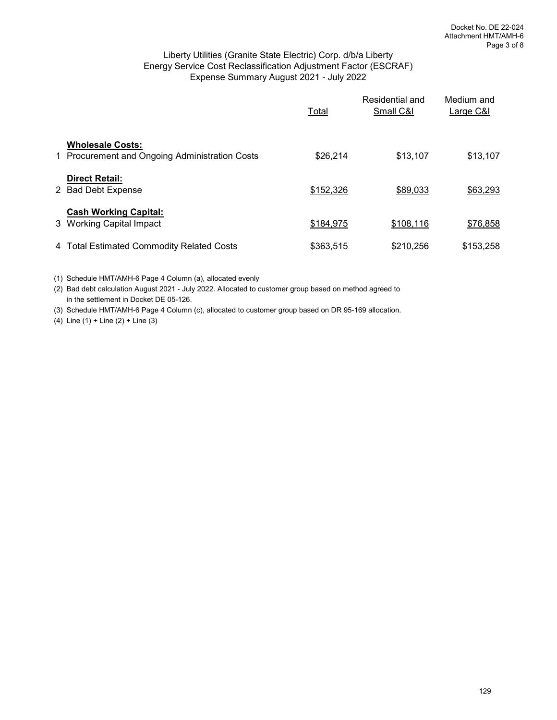## Liberty Utilities (Granite State Electric) Corp. d/b/a Liberty Energy Service Cost Reclassification Adjustment Factor (ESCRAF) Expense Summary August 2021 - July 2022

|                                                                           | Total     | Residential and<br>Small C&I | Medium and<br>Large C&I |
|---------------------------------------------------------------------------|-----------|------------------------------|-------------------------|
| <b>Wholesale Costs:</b><br>1 Procurement and Ongoing Administration Costs | \$26,214  | \$13,107                     | \$13,107                |
| <b>Direct Retail:</b><br>2 Bad Debt Expense                               | \$152,326 | \$89,033                     | \$63,293                |
| <b>Cash Working Capital:</b><br>3 Working Capital Impact                  | \$184,975 | \$108,116                    | \$76,858                |
| 4 Total Estimated Commodity Related Costs                                 | \$363,515 | \$210,256                    | \$153,258               |

(1) Schedule HMT/AMH-6 Page 4 Column (a), allocated evenly

(2) Bad debt calculation August 2021 - July 2022. Allocated to customer group based on method agreed to in the settlement in Docket DE 05-126.

(3) Schedule HMT/AMH-6 Page 4 Column (c), allocated to customer group based on DR 95-169 allocation.

(4) Line (1) + Line (2) + Line (3)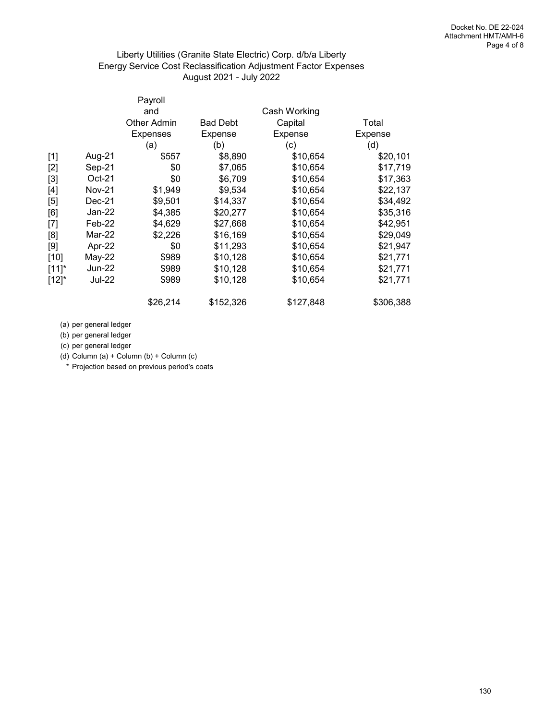## Liberty Utilities (Granite State Electric) Corp. d/b/a Liberty Energy Service Cost Reclassification Adjustment Factor Expenses August 2021 - July 2022

|            |               | Payroll            |                 |              |           |
|------------|---------------|--------------------|-----------------|--------------|-----------|
|            |               | and                |                 | Cash Working |           |
|            |               | <b>Other Admin</b> | <b>Bad Debt</b> | Capital      | Total     |
|            |               | Expenses           | Expense         | Expense      | Expense   |
|            |               | (a)                | (b)             | (c)          | (d)       |
| $[1]$      | Aug-21        | \$557              | \$8,890         | \$10,654     | \$20,101  |
| $[2]$      | Sep-21        | \$0                | \$7,065         | \$10,654     | \$17,719  |
| $[3]$      | $Oct-21$      | \$0                | \$6,709         | \$10,654     | \$17,363  |
| $[4]$      | Nov-21        | \$1,949            | \$9,534         | \$10,654     | \$22,137  |
| $[5]$      | Dec-21        | \$9,501            | \$14,337        | \$10,654     | \$34,492  |
| [6]        | Jan-22        | \$4,385            | \$20,277        | \$10,654     | \$35,316  |
| $[7]$      | Feb-22        | \$4,629            | \$27,668        | \$10,654     | \$42,951  |
| [8]        | Mar-22        | \$2,226            | \$16,169        | \$10,654     | \$29,049  |
| [9]        | Apr-22        | \$0                | \$11,293        | \$10,654     | \$21,947  |
| $[10]$     | May-22        | \$989              | \$10,128        | \$10,654     | \$21,771  |
| $[11]^{*}$ | Jun-22        | \$989              | \$10,128        | \$10,654     | \$21,771  |
| $[12]$ *   | <b>Jul-22</b> | \$989              | \$10,128        | \$10,654     | \$21,771  |
|            |               | \$26,214           | \$152,326       | \$127,848    | \$306,388 |

(a) per general ledger

(b) per general ledger

(c) per general ledger

(d) Column (a) + Column (b) + Column (c)

\* Projection based on previous period's coats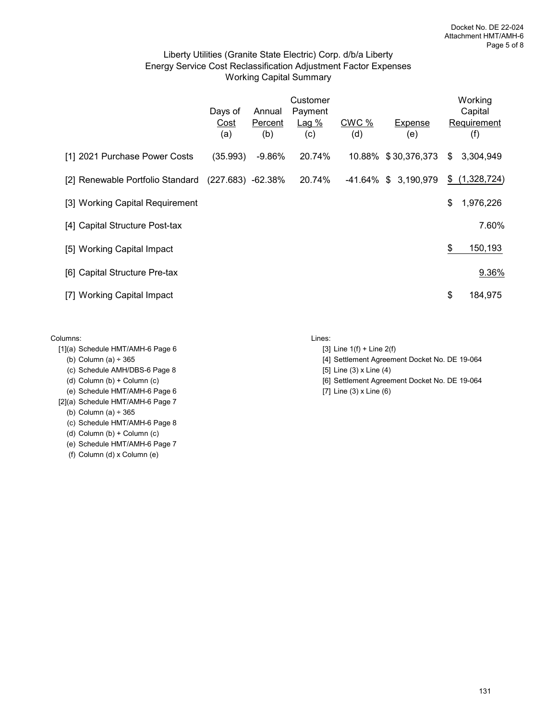## Liberty Utilities (Granite State Electric) Corp. d/b/a Liberty Energy Service Cost Reclassification Adjustment Factor Expenses Working Capital Summary

|                                  | Days of<br>Cost<br>(a) | Annual<br>Percent<br>(b) | Customer<br>Payment<br>Lag%<br>(c) | CWC %<br>(d) | Expense<br>(e)       | Working<br>Capital<br>Requirement<br>(f) |
|----------------------------------|------------------------|--------------------------|------------------------------------|--------------|----------------------|------------------------------------------|
| [1] 2021 Purchase Power Costs    | (35.993)               | $-9.86%$                 | 20.74%                             |              | 10.88% \$30,376,373  | \$<br>3,304,949                          |
| [2] Renewable Portfolio Standard | $(227.683) -62.38\%$   |                          | 20.74%                             |              | -41.64% \$ 3,190,979 | \$<br>(1,328,724)                        |
| [3] Working Capital Requirement  |                        |                          |                                    |              |                      | \$<br>1,976,226                          |
| [4] Capital Structure Post-tax   |                        |                          |                                    |              |                      | 7.60%                                    |
| [5] Working Capital Impact       |                        |                          |                                    |              |                      | \$<br>150,193                            |
| [6] Capital Structure Pre-tax    |                        |                          |                                    |              |                      | 9.36%                                    |
| [7] Working Capital Impact       |                        |                          |                                    |              |                      | \$<br>184,975                            |

#### Columns: Lines:

- $[1]$ (a) Schedule HMT/AMH-6 Page 6 [3] Line 1(f) + Line 2(f)
	-
	- (c) Schedule AMH/DBS-6 Page 8  $[5]$  Line (3) x Line (4)
	-
- (e) Schedule HMT/AMH-6 Page 6 [7] Line (3) x Line (6)
- [2](a) Schedule HMT/AMH-6 Page 7

(b) Column (a) ÷ 365

- (c) Schedule HMT/AMH-6 Page 8
- (d) Column (b) + Column (c)
- (e) Schedule HMT/AMH-6 Page 7
- (f) Column (d) x Column (e)

- 
- (b) Column (a) ÷ 365 [4] Settlement Agreement Docket No. DE 19-064
	-
- (d) Column (b) + Column (c) **[6] Settlement Agreement Docket No. DE 19-064** 
	-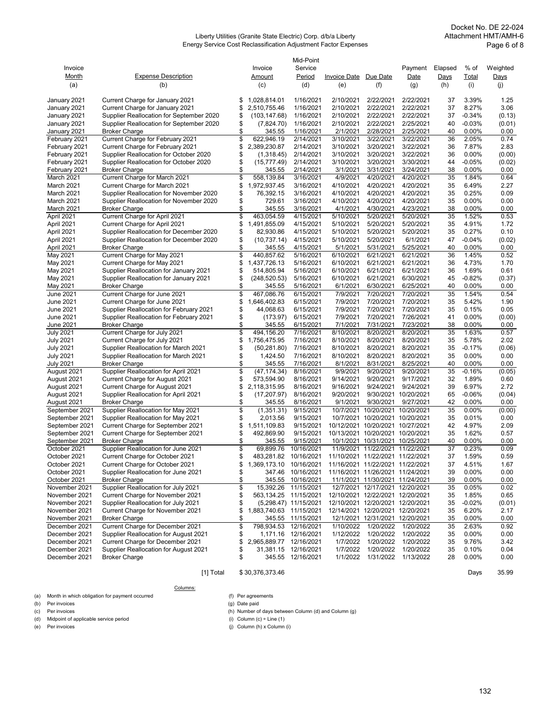#### Liberty Utilities (Granite State Electric) Corp. d/b/a Liberty Energy Service Cost Reclassification Adjustment Factor Expenses

|                                |                                                                                    |          |                               | Mid-Point              |                        |                                              |                        |             |                   |                |
|--------------------------------|------------------------------------------------------------------------------------|----------|-------------------------------|------------------------|------------------------|----------------------------------------------|------------------------|-------------|-------------------|----------------|
| Invoice                        |                                                                                    |          | Invoice                       | Service                |                        |                                              | Payment                | Elapsed     | % of              | Weighted       |
| <u>Month</u>                   | <b>Expense Description</b>                                                         |          | Amount                        | Period                 | Invoice Date           | Due Date                                     | Date                   | <u>Days</u> | Total             | <u>Days</u>    |
| (a)                            | (b)                                                                                |          | (c)                           | (d)                    | (e)                    | (f)                                          | (q)                    | (h)         | (i)               | (j)            |
|                                |                                                                                    |          |                               |                        |                        |                                              |                        |             |                   |                |
| January 2021                   | Current Charge for January 2021                                                    | \$       | 1,028,814.01                  | 1/16/2021<br>1/16/2021 | 2/10/2021              | 2/22/2021<br>2/22/2021                       | 2/22/2021              | 37          | 3.39%             | 1.25           |
| January 2021<br>January 2021   | Current Charge for January 2021<br>Supplier Reallocation for September 2020        | \$<br>\$ | 2,510,755.46<br>(103, 147.68) | 1/16/2021              | 2/10/2021<br>2/10/2021 | 2/22/2021                                    | 2/22/2021<br>2/22/2021 | 37<br>37    | 8.27%<br>$-0.34%$ | 3.06<br>(0.13) |
| January 2021                   | Supplier Reallocation for September 2020                                           | \$       | (7,824.70)                    | 1/16/2021              | 2/10/2021              | 2/22/2021                                    | 2/25/2021              | 40          | $-0.03%$          | (0.01)         |
| January 2021                   | <b>Broker Charge</b>                                                               | \$       | 345.55                        | 1/16/2021              | 2/1/2021               | 2/28/2021                                    | 2/25/2021              | 40          | 0.00%             | 0.00           |
| February 2021                  | Current Charge for February 2021                                                   | \$       | 622,946.19                    | 2/14/2021              | 3/10/2021              | 3/22/2021                                    | 3/22/2021              | 36          | 2.05%             | 0.74           |
| February 2021                  | Current Charge for February 2021                                                   | \$       | 2,389,230.87                  | 2/14/2021              | 3/10/2021              | 3/20/2021                                    | 3/22/2021              | 36          | 7.87%             | 2.83           |
| February 2021                  | Supplier Reallocation for October 2020                                             | \$       | (1,318.45)                    | 2/14/2021              | 3/10/2021              | 3/20/2021                                    | 3/22/2021              | 36          | 0.00%             | (0.00)         |
| February 2021                  | Supplier Reallocation for October 2020                                             | \$       | (15, 777.49)                  | 2/14/2021              | 3/10/2021              | 3/20/2021                                    | 3/30/2021              | 44          | $-0.05%$          | (0.02)         |
| February 2021                  | <b>Broker Charge</b>                                                               | \$       | 345.55                        | 2/14/2021              | 3/1/2021               | 3/31/2021                                    | 3/24/2021              | 38          | 0.00%             | 0.00           |
| March 2021                     | Current Charge for March 2021                                                      | \$       | 558,139.84                    | 3/16/2021              | 4/9/2021               | 4/20/2021                                    | 4/20/2021              | 35          | 1.84%             | 0.64           |
| March 2021                     | Current Charge for March 2021                                                      | \$       | 1,972,937.45                  | 3/16/2021              | 4/10/2021              | 4/20/2021                                    | 4/20/2021              | 35          | 6.49%             | 2.27           |
| March 2021                     | Supplier Reallocation for November 2020                                            | \$       | 76,392.15                     | 3/16/2021              | 4/10/2021              | 4/20/2021                                    | 4/20/2021              | 35          | 0.25%             | 0.09           |
| March 2021                     | Supplier Reallocation for November 2020                                            | \$       | 729.61                        | 3/16/2021              | 4/10/2021              | 4/20/2021                                    | 4/20/2021              | 35          | 0.00%             | 0.00           |
| March 2021                     | <b>Broker Charge</b>                                                               | \$       | 345.55                        | 3/16/2021              | 4/1/2021               | 4/30/2021                                    | 4/23/2021              | 38          | 0.00%             | 0.00           |
| April 2021                     | Current Charge for April 2021                                                      | \$       | 463,054.59                    | 4/15/2021              | 5/10/2021              | 5/20/2021                                    | 5/20/2021              | 35          | 1.52%             | 0.53           |
| April 2021                     | Current Charge for April 2021                                                      | \$       | 1,491,855.09                  | 4/15/2021              | 5/10/2021              | 5/20/2021                                    | 5/20/2021              | 35          | 4.91%             | 1.72           |
| April 2021                     | Supplier Reallocation for December 2020                                            | \$       | 82,930.86                     | 4/15/2021              | 5/10/2021              | 5/20/2021                                    | 5/20/2021              | 35          | 0.27%             | 0.10           |
| April 2021                     | Supplier Reallocation for December 2020                                            | \$       | (10, 737.14)                  | 4/15/2021              | 5/10/2021              | 5/20/2021                                    | 6/1/2021               | 47          | $-0.04%$          | (0.02)         |
| April 2021                     | <b>Broker Charge</b>                                                               | \$       | 345.55                        | 4/15/2021              | 5/1/2021               | 5/31/2021                                    | 5/25/2021              | 40          | 0.00%             | 0.00           |
| May 2021                       | Current Charge for May 2021                                                        | \$       | 440,857.62                    | 5/16/2021              | 6/10/2021              | 6/21/2021                                    | 6/21/2021              | 36          | 1.45%             | 0.52           |
| May 2021                       | Current Charge for May 2021                                                        | \$       | 1,437,726.13                  | 5/16/2021              | 6/10/2021              | 6/21/2021                                    | 6/21/2021              | 36          | 4.73%             | 1.70           |
| May 2021                       | Supplier Reallocation for January 2021                                             | \$       | 514,805.94                    | 5/16/2021              | 6/10/2021              | 6/21/2021                                    | 6/21/2021              | 36          | 1.69%             | 0.61           |
| May 2021                       | Supplier Reallocation for January 2021                                             | \$       | (248, 520.53)                 | 5/16/2021              | 6/10/2021              | 6/21/2021                                    | 6/30/2021              | 45          | $-0.82%$          | (0.37)         |
| May 2021                       | <b>Broker Charge</b>                                                               | \$       | 345.55                        | 5/16/2021              | 6/1/2021               | 6/30/2021                                    | 6/25/2021              | 40          | $0.00\%$          | 0.00           |
| June 2021                      | Current Charge for June 2021                                                       | \$       | 467,086.76                    | 6/15/2021              | 7/9/2021               | 7/20/2021                                    | 7/20/2021              | 35          | 1.54%             | 0.54           |
| June 2021                      | Current Charge for June 2021                                                       | \$       | 1,646,402.83                  | 6/15/2021              | 7/9/2021               | 7/20/2021<br>7/20/2021                       | 7/20/2021              | 35          | 5.42%             | 1.90           |
| June 2021<br>June 2021         | Supplier Reallocation for February 2021<br>Supplier Reallocation for February 2021 | \$<br>\$ | 44,068.63<br>(173.97)         | 6/15/2021<br>6/15/2021 | 7/9/2021<br>7/9/2021   | 7/20/2021                                    | 7/20/2021<br>7/26/2021 | 35<br>41    | 0.15%<br>0.00%    | 0.05<br>(0.00) |
| June 2021                      | <b>Broker Charge</b>                                                               | \$       | 345.55                        | 6/15/2021              | 7/1/2021               | 7/31/2021                                    | 7/23/2021              | 38          | 0.00%             | 0.00           |
| <b>July 2021</b>               | Current Charge for July 2021                                                       | \$       | 494,156.20                    | 7/16/2021              | 8/10/2021              | 8/20/2021                                    | 8/20/2021              | 35          | 1.63%             | 0.57           |
| <b>July 2021</b>               | Current Charge for July 2021                                                       | \$       | 1,756,475.95                  | 7/16/2021              | 8/10/2021              | 8/20/2021                                    | 8/20/2021              | 35          | 5.78%             | 2.02           |
| July 2021                      | Supplier Reallocation for March 2021                                               | \$       | (50, 281.80)                  | 7/16/2021              | 8/10/2021              | 8/20/2021                                    | 8/20/2021              | 35          | $-0.17%$          | (0.06)         |
| <b>July 2021</b>               | Supplier Reallocation for March 2021                                               | \$       | 1,424.50                      | 7/16/2021              | 8/10/2021              | 8/20/2021                                    | 8/20/2021              | 35          | 0.00%             | 0.00           |
| <b>July 2021</b>               | <b>Broker Charge</b>                                                               | \$       | 345.55                        | 7/16/2021              | 8/1/2021               | 8/31/2021                                    | 8/25/2021              | 40          | 0.00%             | 0.00           |
| August 2021                    | Supplier Reallocation for April 2021                                               | \$       | (47, 174.34)                  | 8/16/2021              | 9/9/2021               | 9/20/2021                                    | 9/20/2021              | 35          | $-0.16%$          | (0.05)         |
| August 2021                    | Current Charge for August 2021                                                     | \$       | 573,594.90                    | 8/16/2021              | 9/14/2021              | 9/20/2021                                    | 9/17/2021              | 32          | 1.89%             | 0.60           |
| August 2021                    | Current Charge for August 2021                                                     | \$       | 2,118,315.95                  | 8/16/2021              | 9/16/2021              | 9/24/2021                                    | 9/24/2021              | 39          | 6.97%             | 2.72           |
| August 2021                    | Supplier Reallocation for April 2021                                               | \$       | (17, 207.97)                  | 8/16/2021              | 9/20/2021              |                                              | 9/30/2021 10/20/2021   | 65          | $-0.06%$          | (0.04)         |
| August 2021                    | <b>Broker Charge</b>                                                               | \$       | 345.55                        | 8/16/2021              | 9/1/2021               | 9/30/2021                                    | 9/27/2021              | 42          | $0.00\%$          | 0.00           |
| September 2021                 | Supplier Reallocation for May 2021                                                 | \$       | (1,351.31)                    | 9/15/2021              | 10/7/2021              | 10/20/2021                                   | 10/20/2021             | 35          | 0.00%             | (0.00)         |
| September 2021                 | Supplier Reallocation for May 2021                                                 | \$       | 2,013.56                      | 9/15/2021              |                        | 10/7/2021 10/20/2021 10/20/2021              |                        | 35          | 0.01%             | 0.00           |
| September 2021                 | Current Charge for September 2021                                                  | \$       | 1,511,109.83                  | 9/15/2021              |                        | 10/12/2021 10/20/2021 10/27/2021             |                        | 42          | 4.97%             | 2.09           |
| September 2021                 | Current Charge for September 2021                                                  | \$       | 492,869.90                    | 9/15/2021              |                        | 10/13/2021 10/20/2021 10/20/2021             |                        | 35          | 1.62%             | 0.57           |
| September 2021                 | <b>Broker Charge</b>                                                               | \$       | 345.55                        | 9/15/2021              |                        | 10/1/2021 10/31/2021 10/25/2021              |                        | 40          | $0.00\%$          | 0.00           |
| October 2021                   | Supplier Reallocation for June 2021                                                | \$       | 69,899.76                     | 10/16/2021             |                        | 11/9/2021 11/22/2021 11/22/2021              |                        | 37          | 0.23%             | 0.09           |
| October 2021                   | Current Charge for October 2021                                                    | \$       | 483,281.82                    | 10/16/2021             |                        | 11/10/2021 11/22/2021 11/22/2021             |                        | 37          | 1.59%             | 0.59           |
| October 2021                   | Current Charge for October 2021                                                    | \$       | 1,369,173.10 10/16/2021       |                        |                        | 11/16/2021 11/22/2021 11/22/2021             |                        | 37          | 4.51%             | 1.67           |
| October 2021                   | Supplier Reallocation for June 2021                                                | \$       |                               | 347.46 10/16/2021      |                        | 11/16/2021 11/26/2021 11/24/2021             |                        | 39          | 0.00%             | 0.00           |
| October 2021                   | <b>Broker Charge</b>                                                               | \$       | 345.55                        | 10/16/2021             |                        | 11/1/2021 11/30/2021 11/24/2021              |                        | 39          | 0.00%             | 0.00           |
| November 2021                  | Supplier Reallocation for July 2021                                                | \$       | 15,392.26                     | 11/15/2021             |                        | 12/7/2021 12/17/2021 12/20/2021              |                        | 35          | 0.05%             | 0.02           |
| November 2021                  | Current Charge for November 2021                                                   | \$       | 563, 134.25 11/15/2021        |                        |                        | 12/10/2021 12/22/2021 12/20/2021             |                        | 35          | 1.85%             | 0.65           |
| November 2021                  | Supplier Reallocation for July 2021                                                | \$       |                               | (5,298.47) 11/15/2021  |                        | 12/10/2021 12/20/2021 12/20/2021             |                        | 35          | $-0.02%$          | (0.01)         |
| November 2021                  | Current Charge for November 2021                                                   | \$       | 1,883,740.63 11/15/2021       |                        |                        | 12/14/2021 12/20/2021 12/20/2021             |                        | 35          | 6.20%             | 2.17           |
| November 2021<br>December 2021 | <b>Broker Charge</b><br>Current Charge for December 2021                           | \$<br>\$ |                               | 345.55 11/15/2021      | 1/10/2022              | 12/1/2021 12/31/2021 12/20/2021<br>1/20/2022 | 1/20/2022              | 35<br>35    | 0.00%<br>2.63%    | 0.00<br>0.92   |
| December 2021                  | Supplier Reallocation for August 2021                                              | \$       | 798,934.53 12/16/2021         | 1,171.16 12/16/2021    | 1/12/2022              | 1/20/2022                                    | 1/20/2022              | 35          | 0.00%             | 0.00           |
| December 2021                  | Current Charge for December 2021                                                   | \$       | 2,965,889.77 12/16/2021       |                        | 1/7/2022               | 1/20/2022                                    | 1/20/2022              | 35          | 9.76%             | 3.42           |
| December 2021                  | Supplier Reallocation for August 2021                                              | \$       |                               | 31,381.15 12/16/2021   | 1/7/2022               | 1/20/2022                                    | 1/20/2022              | 35          | 0.10%             | 0.04           |
| December 2021                  | <b>Broker Charge</b>                                                               | \$       |                               | 345.55 12/16/2021      | 1/1/2022               | 1/31/2022                                    | 1/13/2022              | 28          | 0.00%             | 0.00           |
|                                |                                                                                    |          |                               |                        |                        |                                              |                        |             |                   |                |

#### [1] Total \$ 30,376,373.46 Days 35.99

(a) Month in which obligation for payment occurred  $(5)$  Per agreements (b) Per invoices (g) Date paid

(b) Per invoices<br>
(c) Per invoices

(d) Midpoint of applicable service period<br>(e) Per invoices

Columns:

(h) Number of days between Column (d) and Column (g) (i) Column (c) + Line (1)  $(i)$  Column  $(h)$  x Column  $(i)$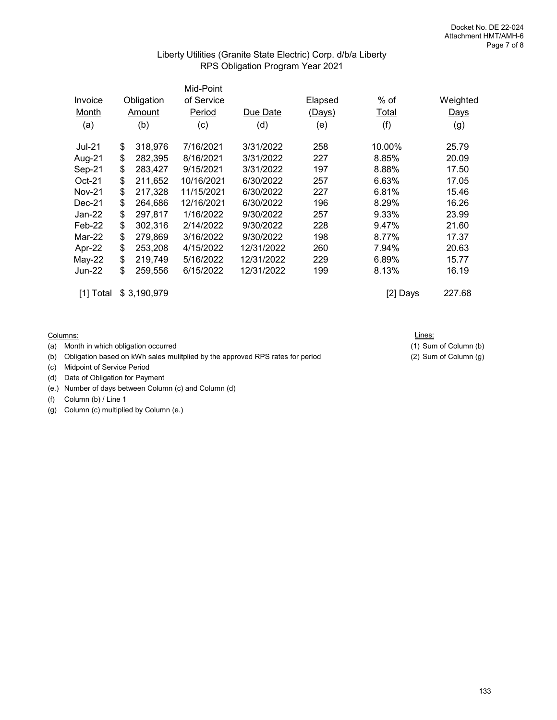## Liberty Utilities (Granite State Electric) Corp. d/b/a Liberty RPS Obligation Program Year 2021

|               |               | Mid-Point  |            |         |        |          |
|---------------|---------------|------------|------------|---------|--------|----------|
| Invoice       | Obligation    | of Service |            | Elapsed | % of   | Weighted |
| Month         | Amount        | Period     | Due Date   | (Days)  | Total  | Days     |
| (a)           | (b)           | (c)        | (d)        | (e)     | (f)    | (g)      |
| <b>Jul-21</b> | \$<br>318,976 | 7/16/2021  | 3/31/2022  | 258     | 10.00% | 25.79    |
| Aug-21        | \$<br>282,395 | 8/16/2021  | 3/31/2022  | 227     | 8.85%  | 20.09    |
| Sep-21        | \$<br>283,427 | 9/15/2021  | 3/31/2022  | 197     | 8.88%  | 17.50    |
| Oct-21        | \$<br>211,652 | 10/16/2021 | 6/30/2022  | 257     | 6.63%  | 17.05    |
| <b>Nov-21</b> | \$<br>217,328 | 11/15/2021 | 6/30/2022  | 227     | 6.81%  | 15.46    |
| $Dec-21$      | \$<br>264,686 | 12/16/2021 | 6/30/2022  | 196     | 8.29%  | 16.26    |
| Jan-22        | \$<br>297,817 | 1/16/2022  | 9/30/2022  | 257     | 9.33%  | 23.99    |
| $Feb-22$      | \$<br>302,316 | 2/14/2022  | 9/30/2022  | 228     | 9.47%  | 21.60    |
| Mar-22        | \$<br>279,869 | 3/16/2022  | 9/30/2022  | 198     | 8.77%  | 17.37    |
| Apr-22        | \$<br>253,208 | 4/15/2022  | 12/31/2022 | 260     | 7.94%  | 20.63    |
| May-22        | \$<br>219,749 | 5/16/2022  | 12/31/2022 | 229     | 6.89%  | 15.77    |
| <b>Jun-22</b> | \$<br>259.556 | 6/15/2022  | 12/31/2022 | 199     | 8.13%  | 16.19    |
|               |               |            |            |         |        |          |

[1] Total \$ 3,190,979 [2] Days 227.68

Columns:

(a) Month in which obligation occurred (1) Sum of Column (b)

(b) Obligation based on kWh sales mulitplied by the approved RPS rates for period (2) Sum of Column (g)

(c) Midpoint of Service Period

- (d) Date of Obligation for Payment
- (e.) Number of days between Column (c) and Column (d)

(f) Column (b) / Line 1

(g) Column (c) multiplied by Column (e.)

Lines: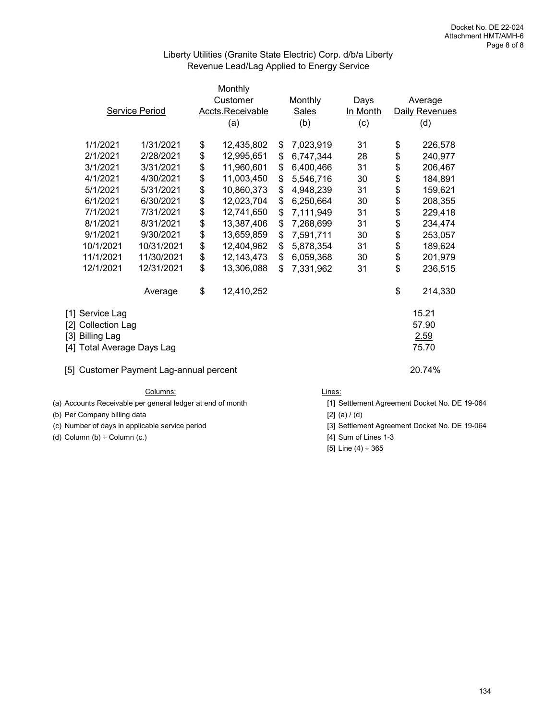## Liberty Utilities (Granite State Electric) Corp. d/b/a Liberty Revenue Lead/Lag Applied to Energy Service

| Service Period                                                                                                                    |                                                                                                                                                 | Monthly<br>Customer<br>Accts.Receivable<br>(a)                                                                                                              |                                                                      | Monthly<br><b>Sales</b><br>(b)                                                                                                                                         |                                                                      | Days<br>In Month<br>(c)                                                                                                                                  |                                                                      | Average<br>Daily Revenues<br>(d)                                     |                                                                                                                                  |
|-----------------------------------------------------------------------------------------------------------------------------------|-------------------------------------------------------------------------------------------------------------------------------------------------|-------------------------------------------------------------------------------------------------------------------------------------------------------------|----------------------------------------------------------------------|------------------------------------------------------------------------------------------------------------------------------------------------------------------------|----------------------------------------------------------------------|----------------------------------------------------------------------------------------------------------------------------------------------------------|----------------------------------------------------------------------|----------------------------------------------------------------------|----------------------------------------------------------------------------------------------------------------------------------|
|                                                                                                                                   | 1/1/2021<br>2/1/2021<br>3/1/2021<br>4/1/2021<br>5/1/2021<br>6/1/2021<br>7/1/2021<br>8/1/2021<br>9/1/2021<br>10/1/2021<br>11/1/2021<br>12/1/2021 | 1/31/2021<br>2/28/2021<br>3/31/2021<br>4/30/2021<br>5/31/2021<br>6/30/2021<br>7/31/2021<br>8/31/2021<br>9/30/2021<br>10/31/2021<br>11/30/2021<br>12/31/2021 | \$<br>\$<br>\$<br>\$<br>\$<br>\$<br>\$<br>\$<br>\$<br>\$<br>\$<br>\$ | 12,435,802<br>12,995,651<br>11,960,601<br>11,003,450<br>10,860,373<br>12,023,704<br>12,741,650<br>13,387,406<br>13,659,859<br>12,404,962<br>12, 143, 473<br>13,306,088 | \$<br>\$<br>\$<br>\$<br>\$<br>\$<br>\$<br>\$<br>\$<br>\$<br>\$<br>\$ | 7,023,919<br>6,747,344<br>6,400,466<br>5,546,716<br>4,948,239<br>6,250,664<br>7,111,949<br>7,268,699<br>7,591,711<br>5,878,354<br>6,059,368<br>7,331,962 | 31<br>28<br>31<br>30<br>31<br>30<br>31<br>31<br>30<br>31<br>30<br>31 | \$<br>\$<br>\$<br>\$<br>\$<br>\$<br>\$<br>\$<br>\$<br>\$<br>\$<br>\$ | 226,578<br>240,977<br>206,467<br>184,891<br>159,621<br>208,355<br>229,418<br>234,474<br>253,057<br>189,624<br>201,979<br>236,515 |
|                                                                                                                                   |                                                                                                                                                 | Average                                                                                                                                                     | \$                                                                   | 12,410,252                                                                                                                                                             |                                                                      |                                                                                                                                                          |                                                                      | \$                                                                   | 214,330                                                                                                                          |
| [1] Service Lag<br>[2] Collection Lag<br>[3] Billing Lag<br>[4] Total Average Days Lag<br>[5] Customer Payment Lag-annual percent |                                                                                                                                                 |                                                                                                                                                             |                                                                      |                                                                                                                                                                        |                                                                      |                                                                                                                                                          |                                                                      | 15.21<br>57.90<br>2.59<br>75.70<br>20.74%                            |                                                                                                                                  |
| Columns:                                                                                                                          |                                                                                                                                                 |                                                                                                                                                             |                                                                      |                                                                                                                                                                        |                                                                      | Lines:                                                                                                                                                   |                                                                      |                                                                      |                                                                                                                                  |

(b) Per Company billing data  $[2]$  (a)  $/(d)$ 

(c) Number of days in applicable service period [3] Settlement Agreement Docket No. DE 19-064

(d) Column  $(b) \div$  Column  $(c.)$  [4] Sum of Lines 1-3

(a) Accounts Receivable per general ledger at end of month [1] Settlement Agreement Docket No. DE 19-064

[5] Line (4) ÷ 365